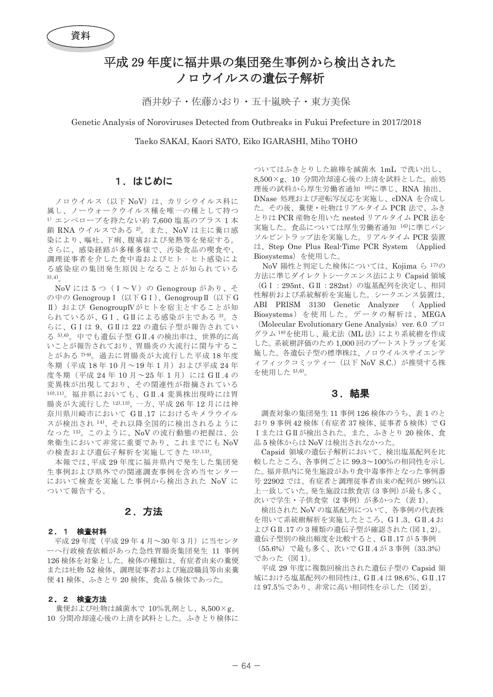# 平成29年度に福井県の集団発生事例から検出された ノロウイルスの潰伝子解析

洒井妙子·佐藤かおり·五十嵐映子·東方美保

Genetic Analysis of Noroviruses Detected from Outbreaks in Fukui Prefecture in 2017/2018

Taeko SAKAI, Kaori SATO, Eiko IGARASHI, Miho TOHO

# 1. はじめに

ノロウイルス (以下 NoV) は、カリシウイルス科に 属し、ノーウォークウイルス種を唯一の種として持つ  $^{1)}$  エンベロープを持たない約 7,600 塩基のプラス 1 本 鎖 RNA ウイルスである<sup>2)</sup>。また、NoV は主に糞口感 染により、嘔吐、下痢、腹痛および発熱等を発症する。 さらに、感染経路が多種多様で、汚染食品の喫食や、 調理従事者を介した食中毒およびヒト - ヒト感染によ る感染症の集団発生原因となることが知られている  $(3), 4)$ 

NoVには5つ (I~V)の Genogroup があり、そ の中の Genogroup I (以下GI)、Genogroup II (以下G Ⅱ) および GenogroupIVがヒトを宿主とすることが知 られているが、GI、GIによる感染が主である<sup>3</sup>。さ らに、GIは9、GIは22の遺伝子型が報告されてい る 5,6)。中でも遺伝子型 GI.4 の検出率は、世界的に高 いことが報告されており、胃腸炎の大流行に関与するこ とがある 7·9。過去に胃腸炎が大流行した平成18年度 冬期 (平成 18年10月~19年1月) および平成 24年 度冬期 (平成 24年10月~25年1月)にはGII.4の 変異株が出現しており、その関連性が指摘されている 10),11)。福井県においても、GII.4 変異株出現時には胃 腸炎が大流行した12,13, 一方、平成 26年12月には神 奈川県川崎市において GII.17 におけるキメラウイル スが検出され14)、それ以降全国的に検出されるように なった15)。このように、NoVの流行動態の把握は、公 衆衛生において非常に重要であり、これまでにも NoV の検査および遺伝子解析を実施してきた 12),13)。

本報では、平成29年度に福井県内で発生した集団発 生事例および県外での関連調査事例を含め当センター において検査を実施した事例から検出された NoV に ついて報告する。

# 2. 方法

#### 2. 1 検査材料

平成 29 年度 (平成 29 年 4 月~30 年 3 月) に当センタ ーへ行政検杳依頼があった急性胃腸炎集団発生 11 事例 126 検体を対象とした。検体の種類は、有症者由来の糞便 または吐物 52 検体、調理従事者および施設職員等由来糞 便41 検体、ふきとり20検体、食品5検体であった。

#### 2. 2 検査方法

糞便および吐物は滅菌水で 10%乳剤とし、8,500×g、 10 分間冷却遠心後の上清を試料とした。ふきとり検体に

ついてはふきとりした綿棒を滅菌水 1mL で洗い出し、 8,500×g、10 分間冷却遠心後の上清を試料とした。前処 理後の試料から厚生労働省通知 16)に準じ、RNA 抽出、 DNase 処理および逆転写反応を実施し、cDNA を合成し た。その後、糞便·吐物はリアルタイム PCR 法で、ふき とりは PCR 産物を用いた nested リアルタイム PCR 法を 実施した。食品については厚生労働省通知16)に準じパン ソルビントラップ法を実施した。リアルタイム PCR 装置 は、Step One Plus Real-Time PCR System (Applied Biosystems) を使用した。

NoV 陽性と判定した検体については、Kojima ら 17)の 方法に準じダイレクトシークエンス法により Capsid 領域 (G I: 295nt、G II: 282nt)の塩基配列を決定し、相同 性解析および系統解析を実施した。シークエンス装置は、 ABI PRISM 3130 Genetic Analyzer (Applied Biosystems) を使用した。データの解析は、MEGA (Molecular Evolutionary Gene Analysis) ver. 6.0  $\mathcal{I} \Box$ グラム<sup>18)</sup>を使用し、最尤法(ML法)により系統樹を作成 した。 系統樹評価のため 1,000 回のブートストラップを実 施した。各遺伝子型の標準株は、ノロウイルスサイエンテ ィフィックコミッティー (以下 NoV S.C.) が推奨する株 を使用した 5),6)。

## 3. 結果

調査対象の集団発生 11 事例 126 検体のうち、表1のと おり9事例42 検体 (有症者37検体、従事者5検体) でG Iまたは GIIが検出された。また、ふきとり20検体、食 品5検体からは NoV は検出されなかった。

Capsid 領域の遺伝子解析において、検出塩基配列を比 較したところ、各事例ごとに 99.3~100%の相同性を示し た。福井県内に発生施設があり食中毒事件となった事例番 号 22902 では、有症者と調理従事者由来の配列が 99%以 上一致していた。発生施設は飲食店(3事例)が最も多く、 次いで学生・子供食堂(2事例)が多かった(表1)。

検出された NoV の塩基配列について、各事例の代表株 を用いて系統樹解析を実施したところ、GI.3、GI.4お よび GII.17の3種類の遺伝子型が確認された (図1、2)。 遺伝子型別の検出頻度を比較すると、GII.17が5事例 (55.6%) で最も多く、次いで GII.4 が 3 事例 (33.3%) であった (図1)。

平成 29 年度に複数回検出された遺伝子型の Capsid 領 域における塩基配列の相同性は、GII.4は98.6%、GII.17 は97.5%であり、非常に高い相同性を示した (図2)。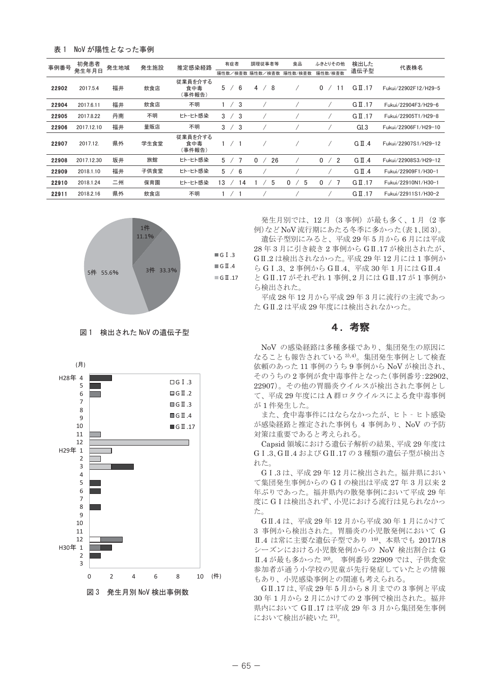| NoV が陽性となった事例 | 表 1 |  |  |  |  |
|---------------|-----|--|--|--|--|
|---------------|-----|--|--|--|--|

| 事例番号  | 初発患者<br>発生年月日 | 発生地域 | 発生施設 | 推定感染経路                   |               | 有症者        | 陽性数/検査数        |          | 調理従事者等<br>陽性数/検査数 | 食品<br>陽性数/検査数 | ふきとりその他<br>陽性数/検査数 | 検出した<br>遺伝子型       | 代表株名                 |
|-------|---------------|------|------|--------------------------|---------------|------------|----------------|----------|-------------------|---------------|--------------------|--------------------|----------------------|
| 22902 | 2017.5.4      | 福井   | 飲食店  | 従業員を介する<br>食中毒<br>(事件報告) | 5             |            | 6              | 4        | -8                |               | 0<br>11            | $G \Pi .17$        | Fukui/22902F12/H29-5 |
| 22904 | 2017.6.11     | 福井   | 飲食店  | 不明                       |               |            | 3              |          |                   |               |                    | $G \Pi .17$        | Fukui/22904F3/H29-6  |
| 22905 | 2017.8.22     | 丹南   | 不明   | ヒトーヒト感染                  | 3             |            | 3              |          |                   |               |                    | $G \Pi .17$        | Fukui/22905T1/H29-8  |
| 22906 | 2017.12.10    | 福井   | 量販店  | 不明                       | $\mathcal{R}$ | $\prime$   | -3             |          |                   |               |                    | GI.3               | Fukui/22906F1/H29-10 |
| 22907 | 2017.12.      | 県外   | 学生食堂 | 従業員を介する<br>食中毒<br>(事件報告) |               |            |                |          |                   |               |                    | $G \Pi .4$         | Fukui/22907S1/H29-12 |
| 22908 | 2017.12.30    | 坂井   | 旅館   | ヒトーヒト感染                  | 5             |            | $\overline{7}$ | $\Omega$ | 26                |               | $\mathbf{0}$<br>/2 | $G \Pi .4$         | Fukui/22908S3/H29-12 |
| 22909 | 2018.1.10     | 福井   | 子供食堂 | ヒトーヒト感染                  | 5             | $\sqrt{2}$ | -6             |          |                   |               |                    | $G \Pi .4$         | Fukui/22909F1/H30-1  |
| 22910 | 2018.1.24     | 二州   | 保育園  | ヒトーヒト感染                  | 13            |            | 14             |          | 5                 | 5<br>0        | 0                  | $G \Pi .17$        | Fukui/22910N1/H30-1  |
| 22911 | 2018.2.16     | 県外   | 飲食店  | 不明                       |               |            |                |          |                   |               |                    | $G \text{ II}$ .17 | Fukui/22911S1/H30-2  |



#### 図1 検出された NoV の遺伝子型



発生月別では、12月 (3事例)が最も多く、1月 (2事 例)などNoV流行期にあたる冬季に多かった(表1、図3)。 遺伝子型別にみると、平成29年5月から6月には平成

28年3月に引き続き2事例から GIL.17 が検出されたが、 GI.2 は検出されなかった。平成 29年12月には1事例か ら GI.3、2 事例から GI.4、平成 30 年 1 月には GI.4 と GIL.17 がそれぞれ 1 事例、2 月には GIL.17 が 1 事例か ら検出された。

平成 28年12月から平成 29年3月に流行の主流であっ た GIL2 は平成 29 年度には検出されなかった。

### 4. 考察

NoV の感染経路は多種多様であり、集団発生の原因に なることも報告されている 3),4)。集団発生事例として検査 依頼のあった 11 事例のうち9事例から NoV が検出され、 そのうちの2事例が食中毒事件となった(事例番号:22902、 22907)。その他の胃腸炎ウイルスが検出された事例とし て、平成29年度にはA群ロタウイルスによる食中毒事例 が1件発生した。

また、食中毒事件にはならなかったが、ヒト - ヒト感染 が感染経路と推定された事例も 4 事例あり、NoV の予防 対策は重要であると考えられる。

Capsid 領域における遺伝子解析の結果、平成 29 年度は GI.3、GI.4 および GI.17の3種類の遺伝子型が検出さ れた。

GI.3 は、平成 29 年12 月に検出された。福井県におい て集団発生事例からの GIの検出は平成 27年3月以来2 年ぶりであった。福井県内の散発事例において平成29年 度にGIは検出されず、小児における流行は見られなかっ ࠋࡓ

GI.4 は、平成 29年12月から平成 30年1月にかけて 3 事例から検出された。胃腸炎の小児散発例において G Ⅱ.4 は常に主要な遺伝子型であり 19)、本県でも 2017/18 シーズンにおける小児散発例からの NoV 検出割合は G Ⅱ.4 が最も多かった<sup>20)</sup>。 事例番号 22909 では、子供食堂 参加者が通う小学校の児童が先行発症していたとの情報 もあり、小児感染事例との関連も考えられる。

GI.17 は、平成29年5月から8月までの3事例と平成 30年1月から2月にかけての2事例で検出された。福井 県内において GII.17 は平成 29年3月から集団発生事例 において検出が続いた 21)。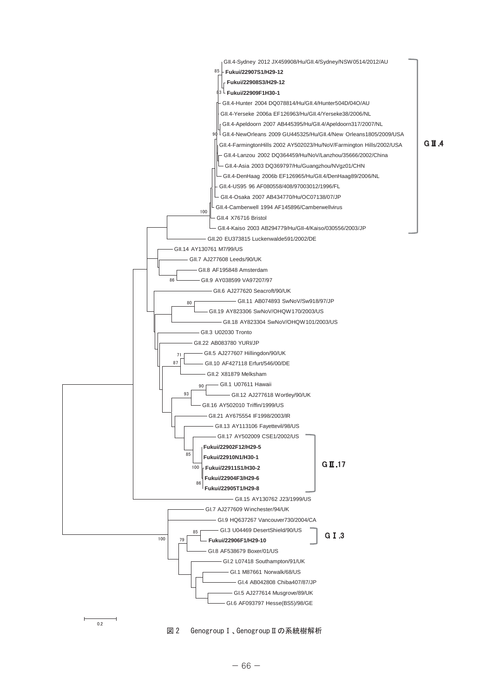